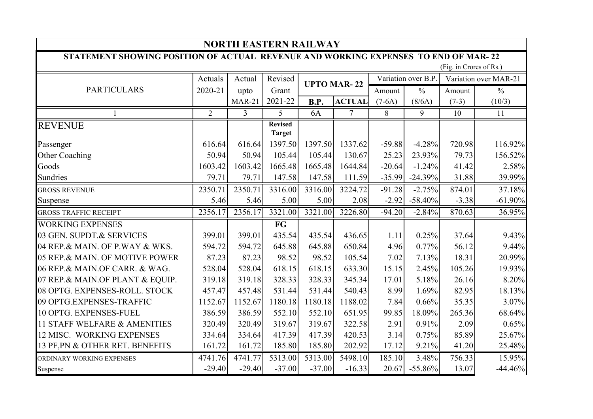| <b>NORTH EASTERN RAILWAY</b>                                                       |                |                |                                 |             |                     |          |                       |         |               |  |  |
|------------------------------------------------------------------------------------|----------------|----------------|---------------------------------|-------------|---------------------|----------|-----------------------|---------|---------------|--|--|
| STATEMENT SHOWING POSITION OF ACTUAL REVENUE AND WORKING EXPENSES TO END OF MAR-22 |                |                |                                 |             |                     |          |                       |         |               |  |  |
| (Fig. in Crores of Rs.)                                                            |                |                |                                 |             |                     |          |                       |         |               |  |  |
| <b>PARTICULARS</b>                                                                 | Actuals        | Actual         | Revised<br><b>UPTO MAR-22</b>   |             | Variation over B.P. |          | Variation over MAR-21 |         |               |  |  |
|                                                                                    | 2020-21        | upto           | Grant                           |             |                     | Amount   | $\frac{0}{0}$         | Amount  | $\frac{0}{0}$ |  |  |
|                                                                                    |                | <b>MAR-21</b>  | 2021-22                         | <b>B.P.</b> | <b>ACTUAL</b>       | $(7-6A)$ | (8/6A)                | $(7-3)$ | (10/3)        |  |  |
| $\mathbf{1}$                                                                       | $\overline{2}$ | $\overline{3}$ | 5                               | 6A          | $\tau$              | 8        | 9                     | 10      | 11            |  |  |
| <b>REVENUE</b>                                                                     |                |                | <b>Revised</b><br><b>Target</b> |             |                     |          |                       |         |               |  |  |
| Passenger                                                                          | 616.64         | 616.64         | 1397.50                         | 1397.50     | 1337.62             | $-59.88$ | $-4.28%$              | 720.98  | 116.92%       |  |  |
| Other Coaching                                                                     | 50.94          | 50.94          | 105.44                          | 105.44      | 130.67              | 25.23    | 23.93%                | 79.73   | 156.52%       |  |  |
| Goods                                                                              | 1603.42        | 1603.42        | 1665.48                         | 1665.48     | 1644.84             | $-20.64$ | $-1.24%$              | 41.42   | 2.58%         |  |  |
| Sundries                                                                           | 79.71          | 79.71          | 147.58                          | 147.58      | 111.59              | $-35.99$ | $-24.39%$             | 31.88   | 39.99%        |  |  |
| <b>GROSS REVENUE</b>                                                               | 2350.71        | 2350.71        | 3316.00                         | 3316.00     | 3224.72             | $-91.28$ | $-2.75%$              | 874.01  | 37.18%        |  |  |
| Suspense                                                                           | 5.46           | 5.46           | 5.00                            | 5.00        | 2.08                | $-2.92$  | $-58.40%$             | $-3.38$ | $-61.90\%$    |  |  |
| <b>GROSS TRAFFIC RECEIPT</b>                                                       | 2356.17        | 2356.17        | 3321.00                         | 3321.00     | 3226.80             | $-94.20$ | $-2.84%$              | 870.63  | 36.95%        |  |  |
| <b>WORKING EXPENSES</b>                                                            |                |                | FG                              |             |                     |          |                       |         |               |  |  |
| 03 GEN. SUPDT.& SERVICES                                                           | 399.01         | 399.01         | 435.54                          | 435.54      | 436.65              | 1.11     | 0.25%                 | 37.64   | 9.43%         |  |  |
| 04 REP.& MAIN. OF P.WAY & WKS.                                                     | 594.72         | 594.72         | 645.88                          | 645.88      | 650.84              | 4.96     | 0.77%                 | 56.12   | 9.44%         |  |  |
| 05 REP.& MAIN. OF MOTIVE POWER                                                     | 87.23          | 87.23          | 98.52                           | 98.52       | 105.54              | 7.02     | 7.13%                 | 18.31   | 20.99%        |  |  |
| 06 REP.& MAIN.OF CARR. & WAG.                                                      | 528.04         | 528.04         | 618.15                          | 618.15      | 633.30              | 15.15    | 2.45%                 | 105.26  | 19.93%        |  |  |
| 07 REP.& MAIN.OF PLANT & EQUIP.                                                    | 319.18         | 319.18         | 328.33                          | 328.33      | 345.34              | 17.01    | 5.18%                 | 26.16   | 8.20%         |  |  |
| 08 OPTG. EXPENSES-ROLL. STOCK                                                      | 457.47         | 457.48         | 531.44                          | 531.44      | 540.43              | 8.99     | 1.69%                 | 82.95   | 18.13%        |  |  |
| 09 OPTG.EXPENSES-TRAFFIC                                                           | 1152.67        | 1152.67        | 1180.18                         | 1180.18     | 1188.02             | 7.84     | 0.66%                 | 35.35   | 3.07%         |  |  |
| 10 OPTG. EXPENSES-FUEL                                                             | 386.59         | 386.59         | 552.10                          | 552.10      | 651.95              | 99.85    | 18.09%                | 265.36  | 68.64%        |  |  |
| 11 STAFF WELFARE & AMENITIES                                                       | 320.49         | 320.49         | 319.67                          | 319.67      | 322.58              | 2.91     | 0.91%                 | 2.09    | 0.65%         |  |  |
| 12 MISC. WORKING EXPENSES                                                          | 334.64         | 334.64         | 417.39                          | 417.39      | 420.53              | 3.14     | 0.75%                 | 85.89   | 25.67%        |  |  |
| 13 PF, PN & OTHER RET. BENEFITS                                                    | 161.72         | 161.72         | 185.80                          | 185.80      | 202.92              | 17.12    | 9.21%                 | 41.20   | 25.48%        |  |  |
| ORDINARY WORKING EXPENSES                                                          | 4741.76        | 4741.77        | 5313.00                         | 5313.00     | 5498.10             | 185.10   | 3.48%                 | 756.33  | 15.95%        |  |  |
| Suspense                                                                           | $-29.40$       | $-29.40$       | $-37.00$                        | $-37.00$    | $-16.33$            | 20.67    | $-55.86%$             | 13.07   | $-44.46%$     |  |  |